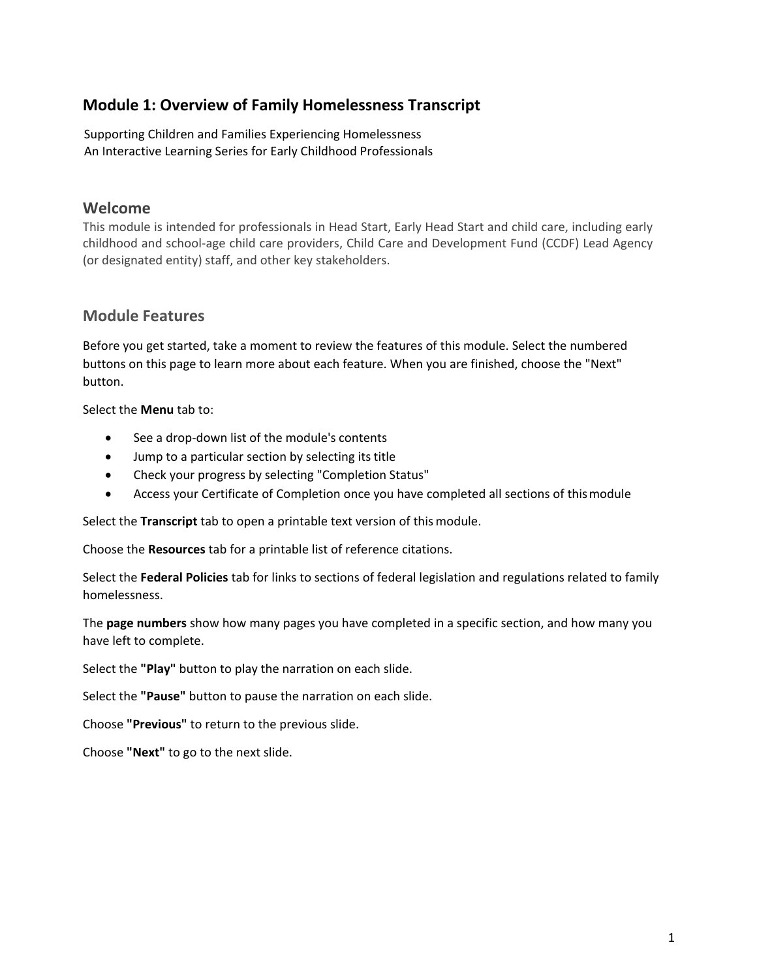### **Module 1: Overview of Family Homelessness Transcript**

Supporting Children and Families Experiencing Homelessness An Interactive Learning Series for Early Childhood Professionals

#### **Welcome**

This module is intended for professionals in Head Start, Early Head Start and child care, including early childhood and school-age child care providers, Child Care and Development Fund (CCDF) Lead Agency (or designated entity) staff, and other key stakeholders.

#### **Module Features**

Before you get started, take a moment to review the features of this module. Select the numbered buttons on this page to learn more about each feature. When you are finished, choose the "Next" button.

Select the **Menu** tab to:

- See a drop-down list of the module's contents
- Jump to a particular section by selecting its title
- Check your progress by selecting "Completion Status"
- Access your Certificate of Completion once you have completed all sections of this module

Select the **Transcript** tab to open a printable text version of this module.

Choose the **Resources** tab for a printable list of reference citations.

Select the **Federal Policies** tab for links to sections of federal legislation and regulations related to family homelessness.

The **page numbers** show how many pages you have completed in a specific section, and how many you have left to complete.

Select the **"Play"** button to play the narration on each slide.

Select the **"Pause"** button to pause the narration on each slide.

Choose **"Previous"** to return to the previous slide.

Choose **"Next"** to go to the next slide.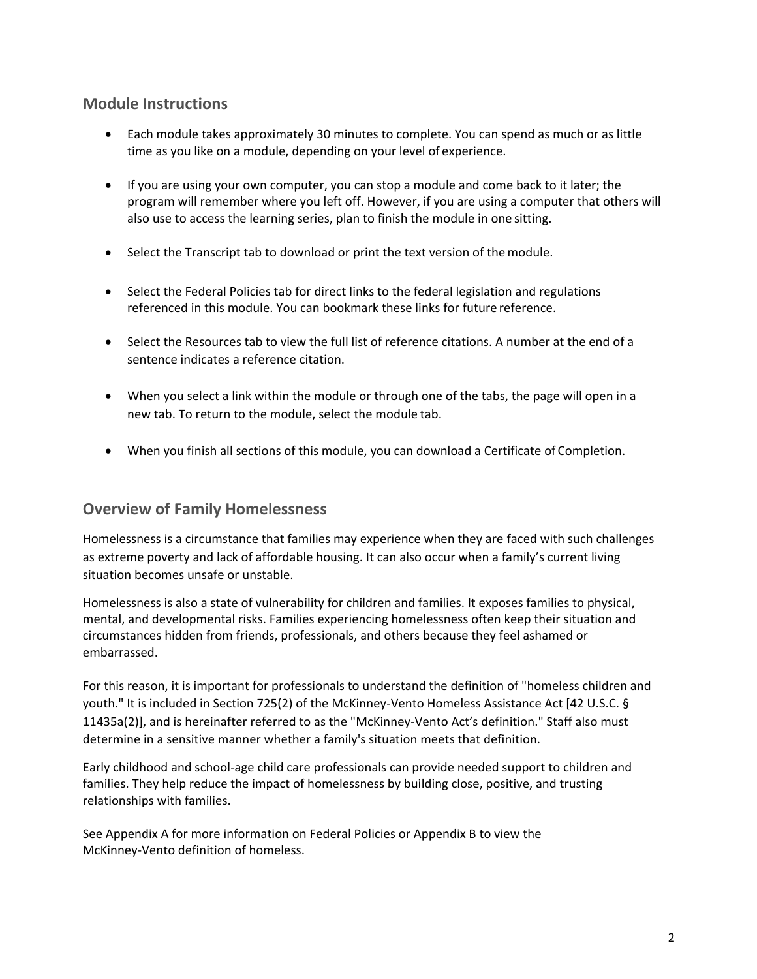### **Module Instructions**

- Each module takes approximately 30 minutes to complete. You can spend as much or as little time as you like on a module, depending on your level of experience.
- If you are using your own computer, you can stop a module and come back to it later; the program will remember where you left off. However, if you are using a computer that others will also use to access the learning series, plan to finish the module in one sitting.
- Select the Transcript tab to download or print the text version of the module.
- Select the Federal Policies tab for direct links to the federal legislation and regulations referenced in this module. You can bookmark these links for future reference.
- Select the Resources tab to view the full list of reference citations. A number at the end of a sentence indicates a reference citation.
- When you select a link within the module or through one of the tabs, the page will open in a new tab. To return to the module, select the module tab.
- When you finish all sections of this module, you can download a Certificate of Completion.

#### **Overview of Family Homelessness**

Homelessness is a circumstance that families may experience when they are faced with such challenges as extreme poverty and lack of affordable housing. It can also occur when a family's current living situation becomes unsafe or unstable.

Homelessness is also a state of vulnerability for children and families. It exposes families to physical, mental, and developmental risks. Families experiencing homelessness often keep their situation and circumstances hidden from friends, professionals, and others because they feel ashamed or embarrassed.

For this reason, it is important for professionals to understand the definition of "homeless children and youth." It is included in Section 725(2) of the McKinney-Vento Homeless Assistance Act [42 U.S.C. § 11435a(2)], and is hereinafter referred to as the "McKinney-Vento Act's definition." Staff also must determine in a sensitive manner whether a family's situation meets that definition.

Early childhood and school-age child care professionals can provide needed support to children and families. They help reduce the impact of homelessness by building close, positive, and trusting relationships with families.

See Appendix A for more information on Federal Policies or Appendix B to view the McKinney-Vento definition of homeless.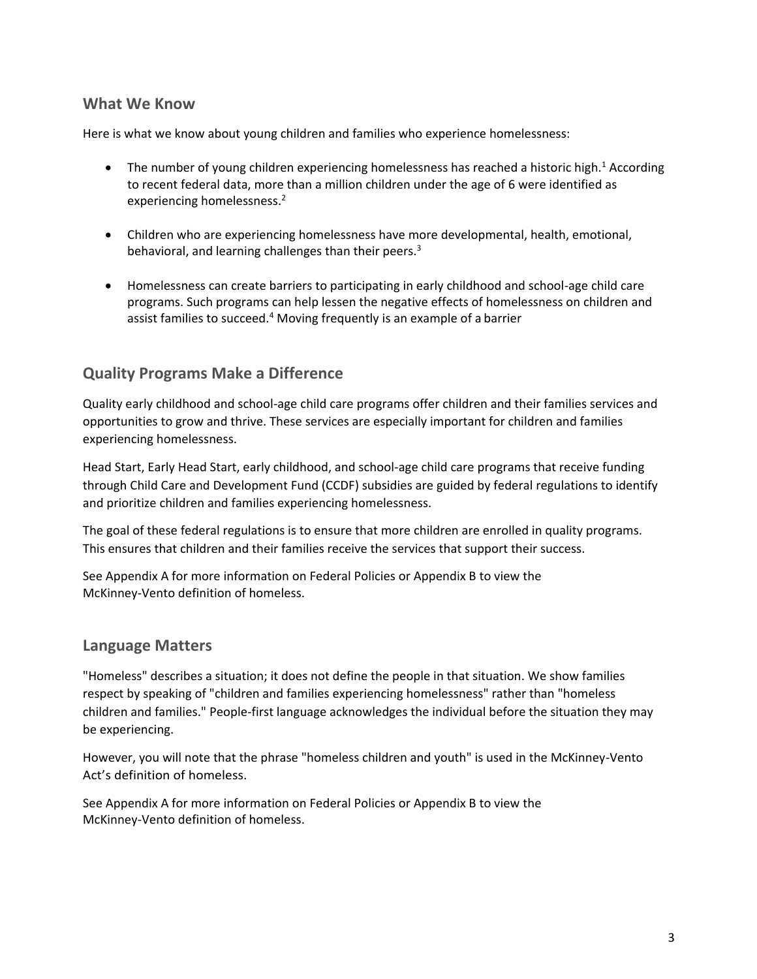#### **What We Know**

Here is what we know about young children and families who experience homelessness:

- $\bullet$  The number of young children experiencing homelessness has reached a historic high.<sup>1</sup> According to recent federal data, more than a million children under the age of 6 were identified as experiencing homelessness.<sup>2</sup>
- Children who are experiencing homelessness have more developmental, health, emotional, behavioral, and learning challenges than their peers.<sup>3</sup>
- Homelessness can create barriers to participating in early childhood and school-age child care programs. Such programs can help lessen the negative effects of homelessness on children and assist families to succeed.<sup>4</sup> Moving frequently is an example of a barrier

#### **Quality Programs Make a Difference**

Quality early childhood and school-age child care programs offer children and their families services and opportunities to grow and thrive. These services are especially important for children and families experiencing homelessness.

Head Start, Early Head Start, early childhood, and school-age child care programs that receive funding through Child Care and Development Fund (CCDF) subsidies are guided by federal regulations to identify and prioritize children and families experiencing homelessness.

The goal of these federal regulations is to ensure that more children are enrolled in quality programs. This ensures that children and their families receive the services that support their success.

See Appendix A for more information on Federal Policies or Appendix B to view the McKinney-Vento definition of homeless.

#### **Language Matters**

"Homeless" describes a situation; it does not define the people in that situation. We show families respect by speaking of "children and families experiencing homelessness" rather than "homeless children and families." People-first language acknowledges the individual before the situation they may be experiencing.

However, you will note that the phrase "homeless children and youth" is used in the McKinney-Vento Act's definition of homeless.

See Appendix A for more information on Federal Policies or Appendix B to view the McKinney-Vento definition of homeless.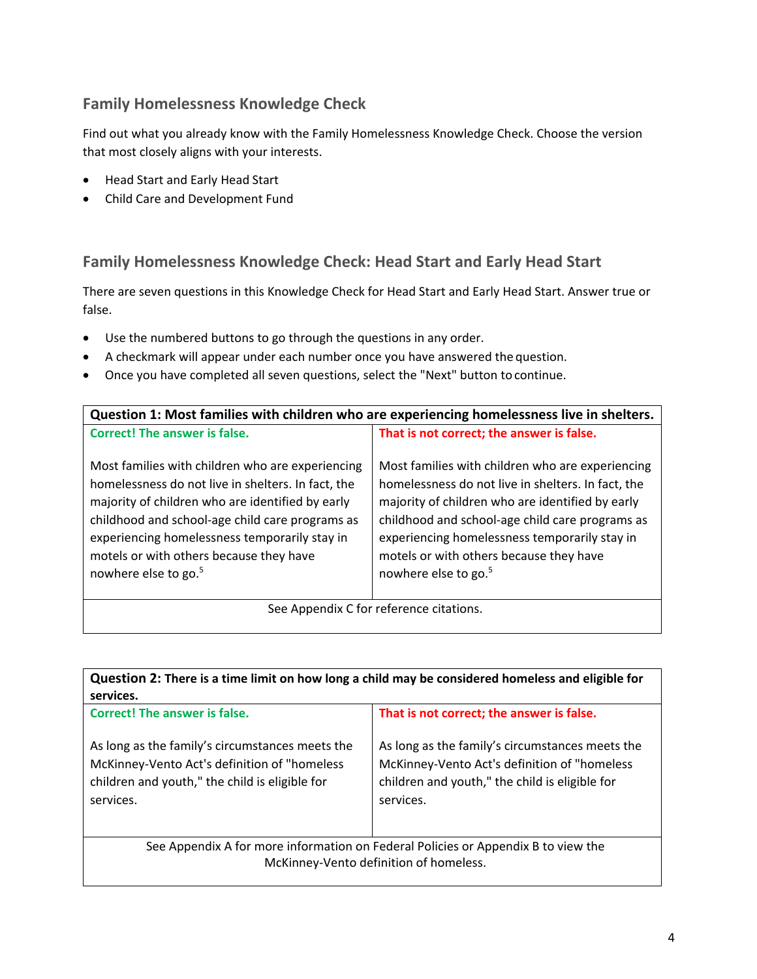## **Family Homelessness Knowledge Check**

Find out what you already know with the Family Homelessness Knowledge Check. Choose the version that most closely aligns with your interests.

- Head Start and Early Head Start
- Child Care and Development Fund

#### **Family Homelessness Knowledge Check: Head Start and Early Head Start**

There are seven questions in this Knowledge Check for Head Start and Early Head Start. Answer true or false.

- Use the numbered buttons to go through the questions in any order.
- A checkmark will appear under each number once you have answered the question.
- Once you have completed all seven questions, select the "Next" button to continue.

| Question 1: Most families with children who are experiencing homelessness live in shelters.                                                                                                                                                                                                                                                   |                                                                                                                                                                                                                                                                                                                                               |
|-----------------------------------------------------------------------------------------------------------------------------------------------------------------------------------------------------------------------------------------------------------------------------------------------------------------------------------------------|-----------------------------------------------------------------------------------------------------------------------------------------------------------------------------------------------------------------------------------------------------------------------------------------------------------------------------------------------|
| <b>Correct! The answer is false.</b>                                                                                                                                                                                                                                                                                                          | That is not correct; the answer is false.                                                                                                                                                                                                                                                                                                     |
| Most families with children who are experiencing<br>homelessness do not live in shelters. In fact, the<br>majority of children who are identified by early<br>childhood and school-age child care programs as<br>experiencing homelessness temporarily stay in<br>motels or with others because they have<br>nowhere else to go. <sup>5</sup> | Most families with children who are experiencing<br>homelessness do not live in shelters. In fact, the<br>majority of children who are identified by early<br>childhood and school-age child care programs as<br>experiencing homelessness temporarily stay in<br>motels or with others because they have<br>nowhere else to go. <sup>5</sup> |
| See Appendix C for reference citations.                                                                                                                                                                                                                                                                                                       |                                                                                                                                                                                                                                                                                                                                               |

| Question 2: There is a time limit on how long a child may be considered homeless and eligible for<br>services.                                                 |                                                                                                                                                                |
|----------------------------------------------------------------------------------------------------------------------------------------------------------------|----------------------------------------------------------------------------------------------------------------------------------------------------------------|
| <b>Correct! The answer is false.</b>                                                                                                                           | That is not correct; the answer is false.                                                                                                                      |
| As long as the family's circumstances meets the<br>McKinney-Vento Act's definition of "homeless<br>children and youth," the child is eligible for<br>services. | As long as the family's circumstances meets the<br>McKinney-Vento Act's definition of "homeless<br>children and youth," the child is eligible for<br>services. |
| See Appendix A for more information on Federal Policies or Appendix B to view the<br>McKinney-Vento definition of homeless.                                    |                                                                                                                                                                |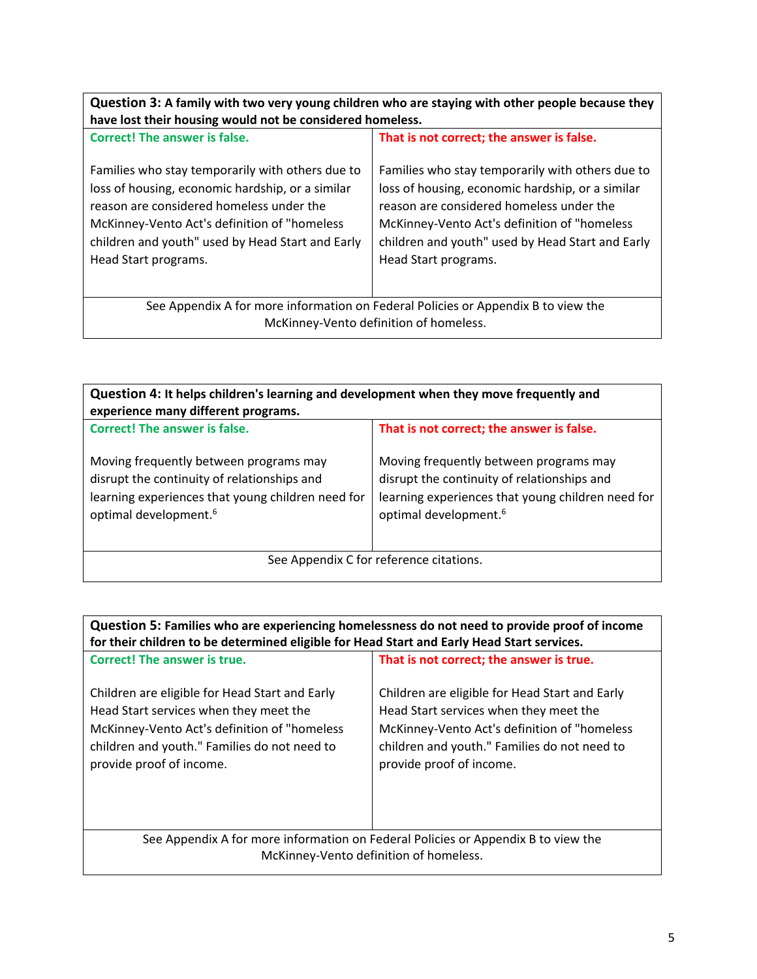| Question 3: A family with two very young children who are staying with other people because they<br>have lost their housing would not be considered homeless.                                                                                                                 |                                                                                                                                                                                                                                                                               |  |
|-------------------------------------------------------------------------------------------------------------------------------------------------------------------------------------------------------------------------------------------------------------------------------|-------------------------------------------------------------------------------------------------------------------------------------------------------------------------------------------------------------------------------------------------------------------------------|--|
| <b>Correct! The answer is false.</b>                                                                                                                                                                                                                                          | That is not correct; the answer is false.                                                                                                                                                                                                                                     |  |
| Families who stay temporarily with others due to<br>loss of housing, economic hardship, or a similar<br>reason are considered homeless under the<br>McKinney-Vento Act's definition of "homeless"<br>children and youth" used by Head Start and Early<br>Head Start programs. | Families who stay temporarily with others due to<br>loss of housing, economic hardship, or a similar<br>reason are considered homeless under the<br>McKinney-Vento Act's definition of "homeless"<br>children and youth" used by Head Start and Early<br>Head Start programs. |  |
| See Appendix A for more information on Federal Policies or Appendix B to view the                                                                                                                                                                                             |                                                                                                                                                                                                                                                                               |  |
| McKinney-Vento definition of homeless.                                                                                                                                                                                                                                        |                                                                                                                                                                                                                                                                               |  |

| Question 4: It helps children's learning and development when they move frequently and<br>experience many different programs.                                                   |                                                                                                                                                                                 |
|---------------------------------------------------------------------------------------------------------------------------------------------------------------------------------|---------------------------------------------------------------------------------------------------------------------------------------------------------------------------------|
| <b>Correct! The answer is false.</b>                                                                                                                                            | That is not correct; the answer is false.                                                                                                                                       |
| Moving frequently between programs may<br>disrupt the continuity of relationships and<br>learning experiences that young children need for<br>optimal development. <sup>6</sup> | Moving frequently between programs may<br>disrupt the continuity of relationships and<br>learning experiences that young children need for<br>optimal development. <sup>6</sup> |
| See Appendix C for reference citations.                                                                                                                                         |                                                                                                                                                                                 |
|                                                                                                                                                                                 |                                                                                                                                                                                 |

| Question 5: Families who are experiencing homelessness do not need to provide proof of income<br>for their children to be determined eligible for Head Start and Early Head Start services.                          |                                                                                                                                                                                                                      |
|----------------------------------------------------------------------------------------------------------------------------------------------------------------------------------------------------------------------|----------------------------------------------------------------------------------------------------------------------------------------------------------------------------------------------------------------------|
| Correct! The answer is true.                                                                                                                                                                                         | That is not correct; the answer is true.                                                                                                                                                                             |
| Children are eligible for Head Start and Early<br>Head Start services when they meet the<br>McKinney-Vento Act's definition of "homeless<br>children and youth." Families do not need to<br>provide proof of income. | Children are eligible for Head Start and Early<br>Head Start services when they meet the<br>McKinney-Vento Act's definition of "homeless<br>children and youth." Families do not need to<br>provide proof of income. |
| See Appendix A for more information on Federal Policies or Appendix B to view the                                                                                                                                    |                                                                                                                                                                                                                      |
| McKinney-Vento definition of homeless.                                                                                                                                                                               |                                                                                                                                                                                                                      |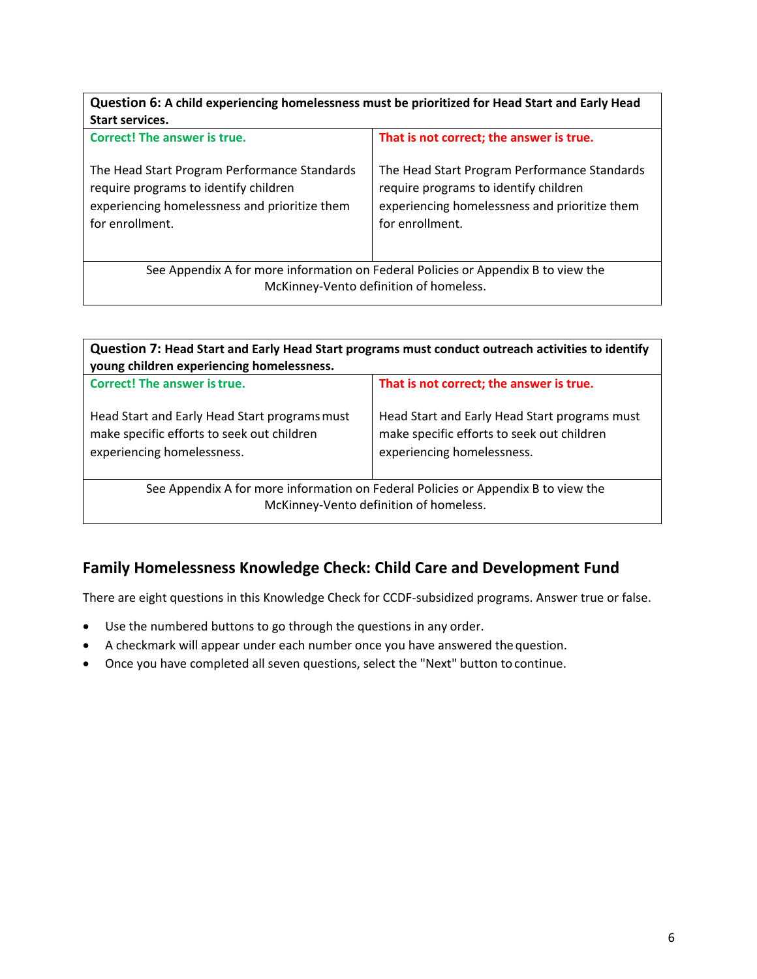| Question 6: A child experiencing homelessness must be prioritized for Head Start and Early Head<br><b>Start services.</b>                                 |                                                                                                                                                           |
|-----------------------------------------------------------------------------------------------------------------------------------------------------------|-----------------------------------------------------------------------------------------------------------------------------------------------------------|
| <b>Correct! The answer is true.</b>                                                                                                                       | That is not correct; the answer is true.                                                                                                                  |
| The Head Start Program Performance Standards<br>require programs to identify children<br>experiencing homelessness and prioritize them<br>for enrollment. | The Head Start Program Performance Standards<br>require programs to identify children<br>experiencing homelessness and prioritize them<br>for enrollment. |
| See Appendix A for more information on Federal Policies or Appendix B to view the                                                                         |                                                                                                                                                           |
| McKinney-Vento definition of homeless.                                                                                                                    |                                                                                                                                                           |

| Question 7: Head Start and Early Head Start programs must conduct outreach activities to identify<br>young children experiencing homelessness. |                                                                                                                           |
|------------------------------------------------------------------------------------------------------------------------------------------------|---------------------------------------------------------------------------------------------------------------------------|
| <b>Correct! The answer is true.</b>                                                                                                            | That is not correct; the answer is true.                                                                                  |
| Head Start and Early Head Start programs must<br>make specific efforts to seek out children<br>experiencing homelessness.                      | Head Start and Early Head Start programs must<br>make specific efforts to seek out children<br>experiencing homelessness. |
| See Appendix A for more information on Federal Policies or Appendix B to view the                                                              |                                                                                                                           |
| McKinney-Vento definition of homeless.                                                                                                         |                                                                                                                           |
|                                                                                                                                                |                                                                                                                           |

## **Family Homelessness Knowledge Check: Child Care and Development Fund**

There are eight questions in this Knowledge Check for CCDF-subsidized programs. Answer true or false.

- Use the numbered buttons to go through the questions in any order.
- A checkmark will appear under each number once you have answered the question.
- Once you have completed all seven questions, select the "Next" button to continue.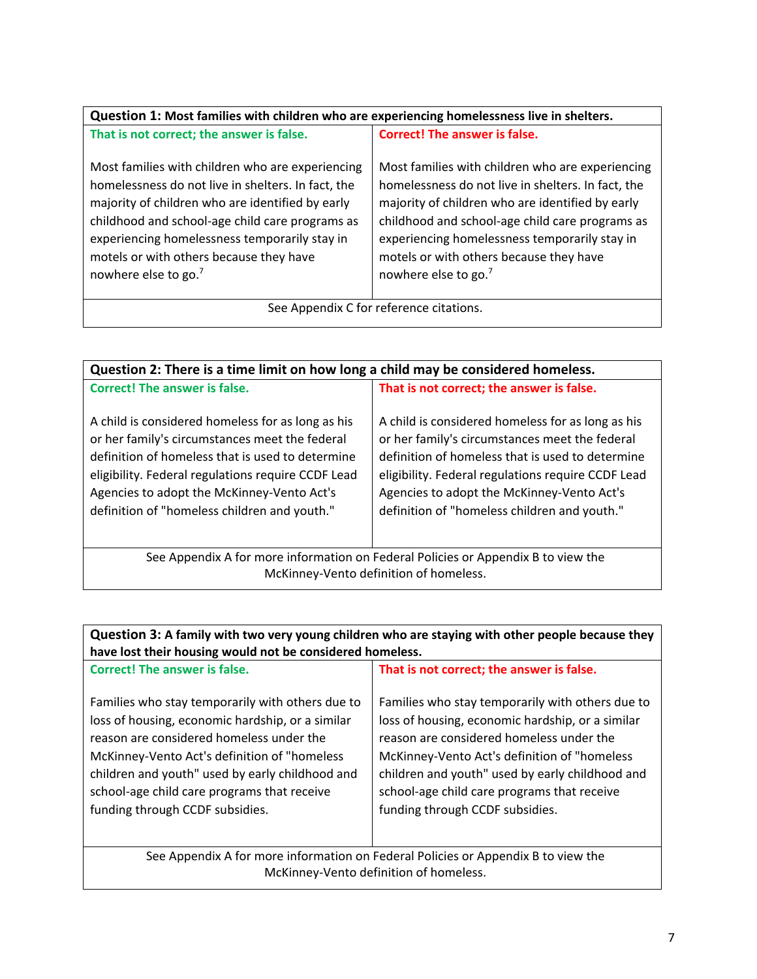| Question 1: Most families with children who are experiencing homelessness live in shelters.                                                                                                                                                                                                                                                   |                                                                                                                                                                                                                                                                                                                                               |
|-----------------------------------------------------------------------------------------------------------------------------------------------------------------------------------------------------------------------------------------------------------------------------------------------------------------------------------------------|-----------------------------------------------------------------------------------------------------------------------------------------------------------------------------------------------------------------------------------------------------------------------------------------------------------------------------------------------|
| That is not correct; the answer is false.                                                                                                                                                                                                                                                                                                     | <b>Correct! The answer is false.</b>                                                                                                                                                                                                                                                                                                          |
| Most families with children who are experiencing<br>homelessness do not live in shelters. In fact, the<br>majority of children who are identified by early<br>childhood and school-age child care programs as<br>experiencing homelessness temporarily stay in<br>motels or with others because they have<br>nowhere else to go. <sup>7</sup> | Most families with children who are experiencing<br>homelessness do not live in shelters. In fact, the<br>majority of children who are identified by early<br>childhood and school-age child care programs as<br>experiencing homelessness temporarily stay in<br>motels or with others because they have<br>nowhere else to go. <sup>7</sup> |
| See Appendix C for reference citations.                                                                                                                                                                                                                                                                                                       |                                                                                                                                                                                                                                                                                                                                               |

| Question 2: There is a time limit on how long a child may be considered homeless.                                                                                                                                                                                                                           |                                                                                                                                                                                                                                                                                                             |
|-------------------------------------------------------------------------------------------------------------------------------------------------------------------------------------------------------------------------------------------------------------------------------------------------------------|-------------------------------------------------------------------------------------------------------------------------------------------------------------------------------------------------------------------------------------------------------------------------------------------------------------|
| <b>Correct! The answer is false.</b>                                                                                                                                                                                                                                                                        | That is not correct; the answer is false.                                                                                                                                                                                                                                                                   |
| A child is considered homeless for as long as his<br>or her family's circumstances meet the federal<br>definition of homeless that is used to determine<br>eligibility. Federal regulations require CCDF Lead<br>Agencies to adopt the McKinney-Vento Act's<br>definition of "homeless children and youth." | A child is considered homeless for as long as his<br>or her family's circumstances meet the federal<br>definition of homeless that is used to determine<br>eligibility. Federal regulations require CCDF Lead<br>Agencies to adopt the McKinney-Vento Act's<br>definition of "homeless children and youth." |
| See Appendix A for more information on Federal Policies or Appendix B to view the<br>McKinney-Vento definition of homeless.                                                                                                                                                                                 |                                                                                                                                                                                                                                                                                                             |
|                                                                                                                                                                                                                                                                                                             |                                                                                                                                                                                                                                                                                                             |

| Question 3: A family with two very young children who are staying with other people because they<br>have lost their housing would not be considered homeless.                                                                                                                                                                          |                                                                                                                                                                                                                                                                                                                                       |  |
|----------------------------------------------------------------------------------------------------------------------------------------------------------------------------------------------------------------------------------------------------------------------------------------------------------------------------------------|---------------------------------------------------------------------------------------------------------------------------------------------------------------------------------------------------------------------------------------------------------------------------------------------------------------------------------------|--|
| <b>Correct! The answer is false.</b>                                                                                                                                                                                                                                                                                                   | That is not correct; the answer is false.                                                                                                                                                                                                                                                                                             |  |
| Families who stay temporarily with others due to<br>loss of housing, economic hardship, or a similar<br>reason are considered homeless under the<br>McKinney-Vento Act's definition of "homeless"<br>children and youth" used by early childhood and<br>school-age child care programs that receive<br>funding through CCDF subsidies. | Families who stay temporarily with others due to<br>loss of housing, economic hardship, or a similar<br>reason are considered homeless under the<br>McKinney-Vento Act's definition of "homeless<br>children and youth" used by early childhood and<br>school-age child care programs that receive<br>funding through CCDF subsidies. |  |
| See Appendix A for more information on Federal Policies or Appendix B to view the                                                                                                                                                                                                                                                      |                                                                                                                                                                                                                                                                                                                                       |  |
| McKinney-Vento definition of homeless.                                                                                                                                                                                                                                                                                                 |                                                                                                                                                                                                                                                                                                                                       |  |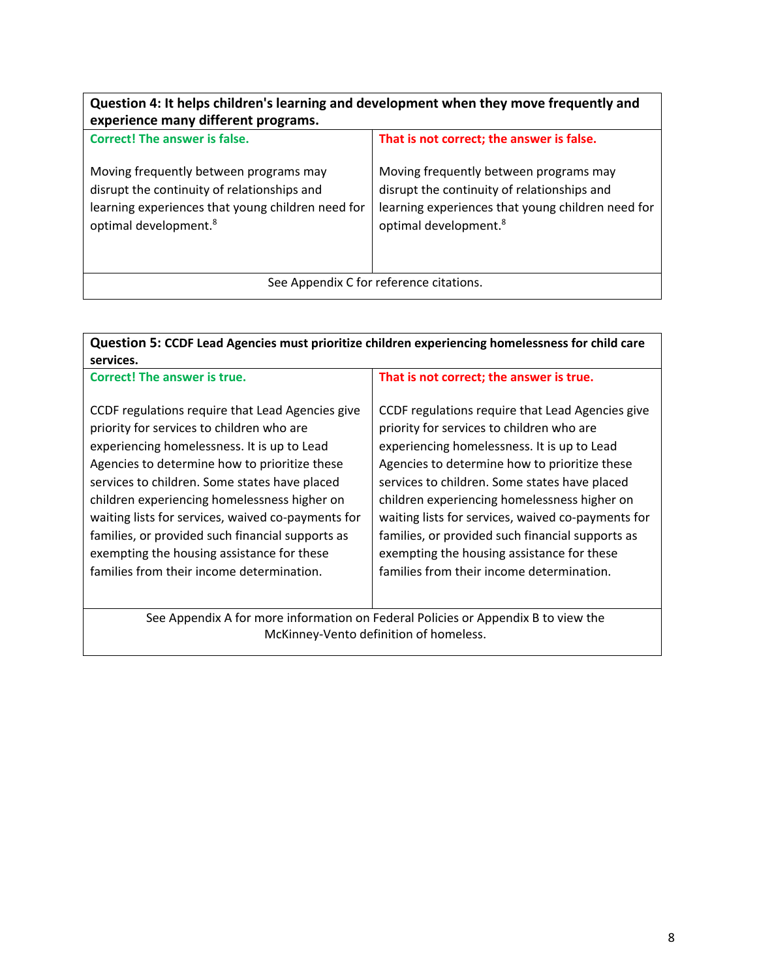| Question 4: It helps children's learning and development when they move frequently and<br>experience many different programs.                                                   |                                                                                                                                                                                 |
|---------------------------------------------------------------------------------------------------------------------------------------------------------------------------------|---------------------------------------------------------------------------------------------------------------------------------------------------------------------------------|
| Correct! The answer is false.                                                                                                                                                   | That is not correct; the answer is false.                                                                                                                                       |
| Moving frequently between programs may<br>disrupt the continuity of relationships and<br>learning experiences that young children need for<br>optimal development. <sup>8</sup> | Moving frequently between programs may<br>disrupt the continuity of relationships and<br>learning experiences that young children need for<br>optimal development. <sup>8</sup> |
| See Appendix C for reference citations.                                                                                                                                         |                                                                                                                                                                                 |

| Question 5: CCDF Lead Agencies must prioritize children experiencing homelessness for child care<br>services.                                                                                                                                                                                                                                                                                                                                                                                       |                                                                                                                                                                                                                                                                                                                                                                                                                                                                                                     |  |
|-----------------------------------------------------------------------------------------------------------------------------------------------------------------------------------------------------------------------------------------------------------------------------------------------------------------------------------------------------------------------------------------------------------------------------------------------------------------------------------------------------|-----------------------------------------------------------------------------------------------------------------------------------------------------------------------------------------------------------------------------------------------------------------------------------------------------------------------------------------------------------------------------------------------------------------------------------------------------------------------------------------------------|--|
| <b>Correct! The answer is true.</b>                                                                                                                                                                                                                                                                                                                                                                                                                                                                 | That is not correct; the answer is true.                                                                                                                                                                                                                                                                                                                                                                                                                                                            |  |
| CCDF regulations require that Lead Agencies give<br>priority for services to children who are<br>experiencing homelessness. It is up to Lead<br>Agencies to determine how to prioritize these<br>services to children. Some states have placed<br>children experiencing homelessness higher on<br>waiting lists for services, waived co-payments for<br>families, or provided such financial supports as<br>exempting the housing assistance for these<br>families from their income determination. | CCDF regulations require that Lead Agencies give<br>priority for services to children who are<br>experiencing homelessness. It is up to Lead<br>Agencies to determine how to prioritize these<br>services to children. Some states have placed<br>children experiencing homelessness higher on<br>waiting lists for services, waived co-payments for<br>families, or provided such financial supports as<br>exempting the housing assistance for these<br>families from their income determination. |  |
| See Appendix A for more information on Federal Policies or Appendix B to view the<br>McKinney-Vento definition of homeless.                                                                                                                                                                                                                                                                                                                                                                         |                                                                                                                                                                                                                                                                                                                                                                                                                                                                                                     |  |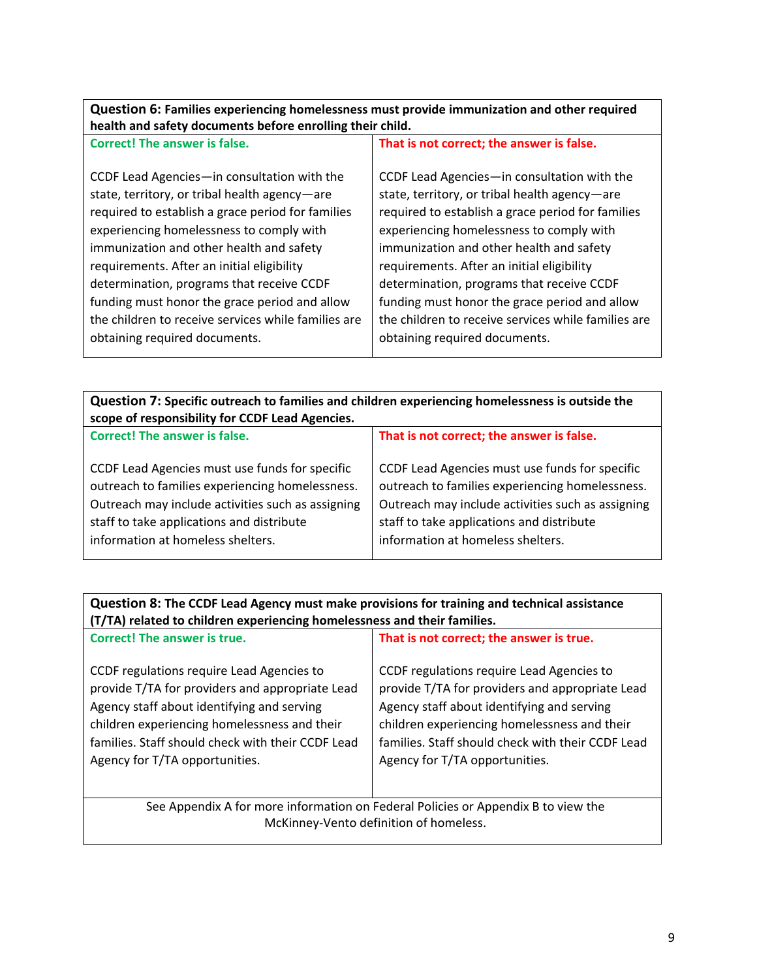| Question 6: Families experiencing homelessness must provide immunization and other required |
|---------------------------------------------------------------------------------------------|
| health and safety documents before enrolling their child.                                   |

| <b>Correct! The answer is false.</b>                                                                                                                                                                                                                                                                                                                                                  | That is not correct; the answer is false.                                                                                                                                                                                                                                                                                                                                             |
|---------------------------------------------------------------------------------------------------------------------------------------------------------------------------------------------------------------------------------------------------------------------------------------------------------------------------------------------------------------------------------------|---------------------------------------------------------------------------------------------------------------------------------------------------------------------------------------------------------------------------------------------------------------------------------------------------------------------------------------------------------------------------------------|
| CCDF Lead Agencies-in consultation with the<br>state, territory, or tribal health agency-are<br>required to establish a grace period for families<br>experiencing homelessness to comply with<br>immunization and other health and safety<br>requirements. After an initial eligibility<br>determination, programs that receive CCDF<br>funding must honor the grace period and allow | CCDF Lead Agencies-in consultation with the<br>state, territory, or tribal health agency-are<br>required to establish a grace period for families<br>experiencing homelessness to comply with<br>immunization and other health and safety<br>requirements. After an initial eligibility<br>determination, programs that receive CCDF<br>funding must honor the grace period and allow |
| the children to receive services while families are                                                                                                                                                                                                                                                                                                                                   | the children to receive services while families are                                                                                                                                                                                                                                                                                                                                   |
| obtaining required documents.                                                                                                                                                                                                                                                                                                                                                         | obtaining required documents.                                                                                                                                                                                                                                                                                                                                                         |

| Question 7: Specific outreach to families and children experiencing homelessness is outside the |                                                |  |  |  |
|-------------------------------------------------------------------------------------------------|------------------------------------------------|--|--|--|
| scope of responsibility for CCDF Lead Agencies.                                                 |                                                |  |  |  |
| <b>Correct! The answer is false.</b>                                                            | That is not correct; the answer is false.      |  |  |  |
| CCDF Lead Agencies must use funds for specific                                                  | CCDF Lead Agencies must use funds for specific |  |  |  |

| CCDI Leau Agencies must use funus for specific    | CCDI Lega Agencies must use funus for specific    |
|---------------------------------------------------|---------------------------------------------------|
| outreach to families experiencing homelessness.   | outreach to families experiencing homelessness.   |
| Outreach may include activities such as assigning | Outreach may include activities such as assigning |
| staff to take applications and distribute         | staff to take applications and distribute         |
| information at homeless shelters.                 | information at homeless shelters.                 |
|                                                   |                                                   |

| Question 8: The CCDF Lead Agency must make provisions for training and technical assistance<br>(T/TA) related to children experiencing homelessness and their families.                                                                                                           |                                                                                                                                                                                                                                                                                   |  |  |
|-----------------------------------------------------------------------------------------------------------------------------------------------------------------------------------------------------------------------------------------------------------------------------------|-----------------------------------------------------------------------------------------------------------------------------------------------------------------------------------------------------------------------------------------------------------------------------------|--|--|
| <b>Correct! The answer is true.</b>                                                                                                                                                                                                                                               | That is not correct; the answer is true.                                                                                                                                                                                                                                          |  |  |
| CCDF regulations require Lead Agencies to<br>provide T/TA for providers and appropriate Lead<br>Agency staff about identifying and serving<br>children experiencing homelessness and their<br>families. Staff should check with their CCDF Lead<br>Agency for T/TA opportunities. | CCDF regulations require Lead Agencies to<br>provide T/TA for providers and appropriate Lead<br>Agency staff about identifying and serving<br>children experiencing homelessness and their<br>families. Staff should check with their CCDF Lead<br>Agency for T/TA opportunities. |  |  |

See Appendix A for more information on Federal Policies or Appendix B to view the McKinney-Vento definition of homeless.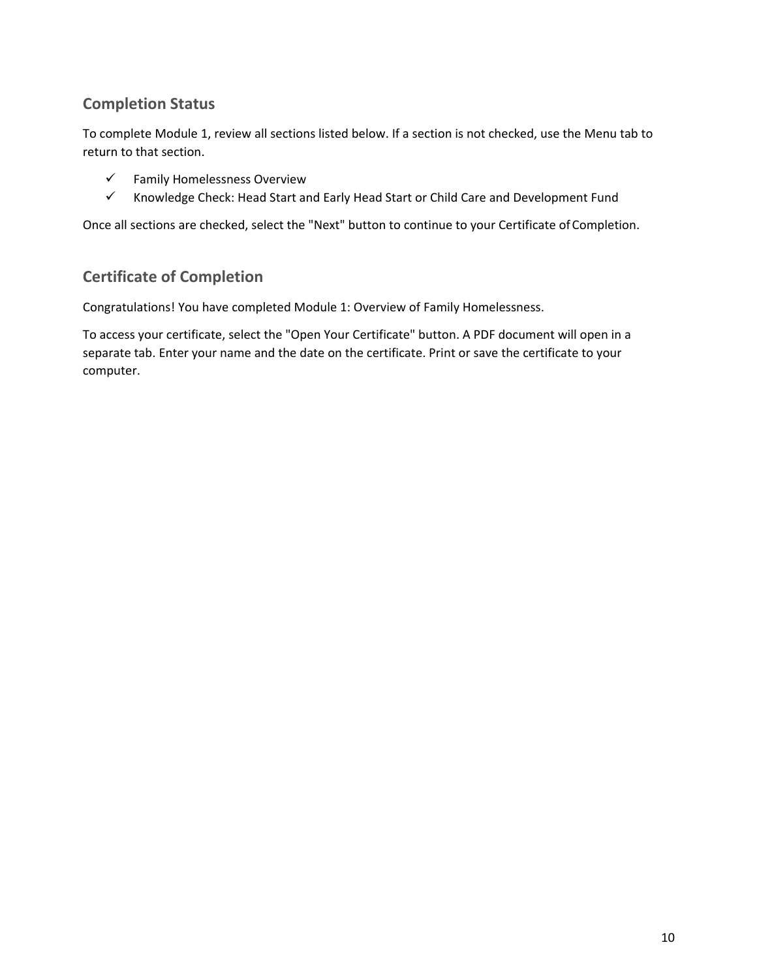## **Completion Status**

To complete Module 1, review all sections listed below. If a section is not checked, use the Menu tab to return to that section.

- $\checkmark$  Family Homelessness Overview
- $\checkmark$  Knowledge Check: Head Start and Early Head Start or Child Care and Development Fund

Once all sections are checked, select the "Next" button to continue to your Certificate of Completion.

### **Certificate of Completion**

Congratulations! You have completed Module 1: Overview of Family Homelessness.

To access your certificate, select the "Open Your Certificate" button. A PDF document will open in a separate tab. Enter your name and the date on the certificate. Print or save the certificate to your computer.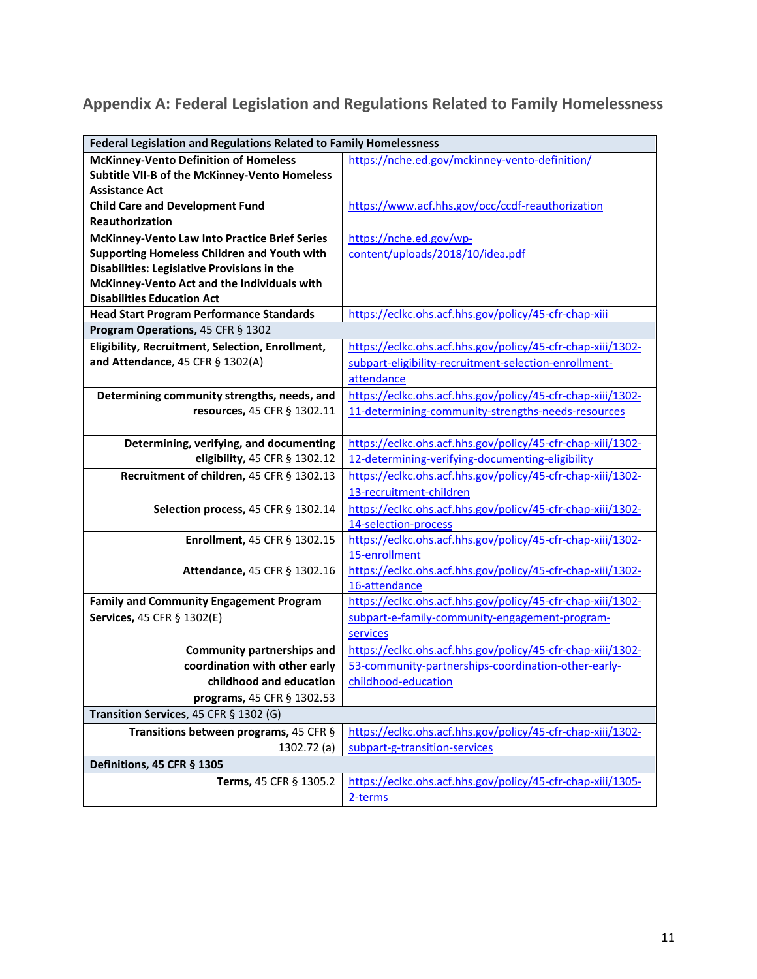# **Appendix A: Federal Legislation and Regulations Related to Family Homelessness**

|                                                  | <b>Federal Legislation and Regulations Related to Family Homelessness</b> |  |  |
|--------------------------------------------------|---------------------------------------------------------------------------|--|--|
| <b>McKinney-Vento Definition of Homeless</b>     | https://nche.ed.gov/mckinney-vento-definition/                            |  |  |
| Subtitle VII-B of the McKinney-Vento Homeless    |                                                                           |  |  |
| <b>Assistance Act</b>                            |                                                                           |  |  |
| <b>Child Care and Development Fund</b>           | https://www.acf.hhs.gov/occ/ccdf-reauthorization                          |  |  |
| <b>Reauthorization</b>                           |                                                                           |  |  |
| McKinney-Vento Law Into Practice Brief Series    | https://nche.ed.gov/wp-                                                   |  |  |
| Supporting Homeless Children and Youth with      | content/uploads/2018/10/idea.pdf                                          |  |  |
| Disabilities: Legislative Provisions in the      |                                                                           |  |  |
| McKinney-Vento Act and the Individuals with      |                                                                           |  |  |
| <b>Disabilities Education Act</b>                |                                                                           |  |  |
| <b>Head Start Program Performance Standards</b>  | https://eclkc.ohs.acf.hhs.gov/policy/45-cfr-chap-xiii                     |  |  |
| Program Operations, 45 CFR § 1302                |                                                                           |  |  |
| Eligibility, Recruitment, Selection, Enrollment, | https://eclkc.ohs.acf.hhs.gov/policy/45-cfr-chap-xiii/1302-               |  |  |
| and Attendance, 45 CFR § 1302(A)                 | subpart-eligibility-recruitment-selection-enrollment-                     |  |  |
|                                                  | attendance                                                                |  |  |
| Determining community strengths, needs, and      | https://eclkc.ohs.acf.hhs.gov/policy/45-cfr-chap-xiii/1302-               |  |  |
| resources, 45 CFR § 1302.11                      | 11-determining-community-strengths-needs-resources                        |  |  |
|                                                  |                                                                           |  |  |
| Determining, verifying, and documenting          | https://eclkc.ohs.acf.hhs.gov/policy/45-cfr-chap-xiii/1302-               |  |  |
| eligibility, 45 CFR § 1302.12                    | 12-determining-verifying-documenting-eligibility                          |  |  |
| Recruitment of children, 45 CFR § 1302.13        | https://eclkc.ohs.acf.hhs.gov/policy/45-cfr-chap-xiii/1302-               |  |  |
|                                                  | 13-recruitment-children                                                   |  |  |
| Selection process, 45 CFR § 1302.14              | https://eclkc.ohs.acf.hhs.gov/policy/45-cfr-chap-xiii/1302-               |  |  |
|                                                  | 14-selection-process                                                      |  |  |
| Enrollment, 45 CFR § 1302.15                     | https://eclkc.ohs.acf.hhs.gov/policy/45-cfr-chap-xiii/1302-               |  |  |
|                                                  | 15-enrollment                                                             |  |  |
| Attendance, 45 CFR § 1302.16                     | https://eclkc.ohs.acf.hhs.gov/policy/45-cfr-chap-xiii/1302-               |  |  |
|                                                  | 16-attendance                                                             |  |  |
| <b>Family and Community Engagement Program</b>   | https://eclkc.ohs.acf.hhs.gov/policy/45-cfr-chap-xiii/1302-               |  |  |
| Services, 45 CFR § 1302(E)                       | subpart-e-family-community-engagement-program-                            |  |  |
|                                                  | services                                                                  |  |  |
| <b>Community partnerships and</b>                | https://eclkc.ohs.acf.hhs.gov/policy/45-cfr-chap-xiii/1302-               |  |  |
| coordination with other early                    | 53-community-partnerships-coordination-other-early-                       |  |  |
| childhood and education                          | childhood-education                                                       |  |  |
| programs, 45 CFR § 1302.53                       |                                                                           |  |  |
| Transition Services, 45 CFR § 1302 (G)           |                                                                           |  |  |
| Transitions between programs, 45 CFR §           | https://eclkc.ohs.acf.hhs.gov/policy/45-cfr-chap-xiii/1302-               |  |  |
| 1302.72 (a)                                      | subpart-g-transition-services                                             |  |  |
| Definitions, 45 CFR § 1305                       |                                                                           |  |  |
| Terms, 45 CFR § 1305.2                           | https://eclkc.ohs.acf.hhs.gov/policy/45-cfr-chap-xiii/1305-               |  |  |
|                                                  | 2-terms                                                                   |  |  |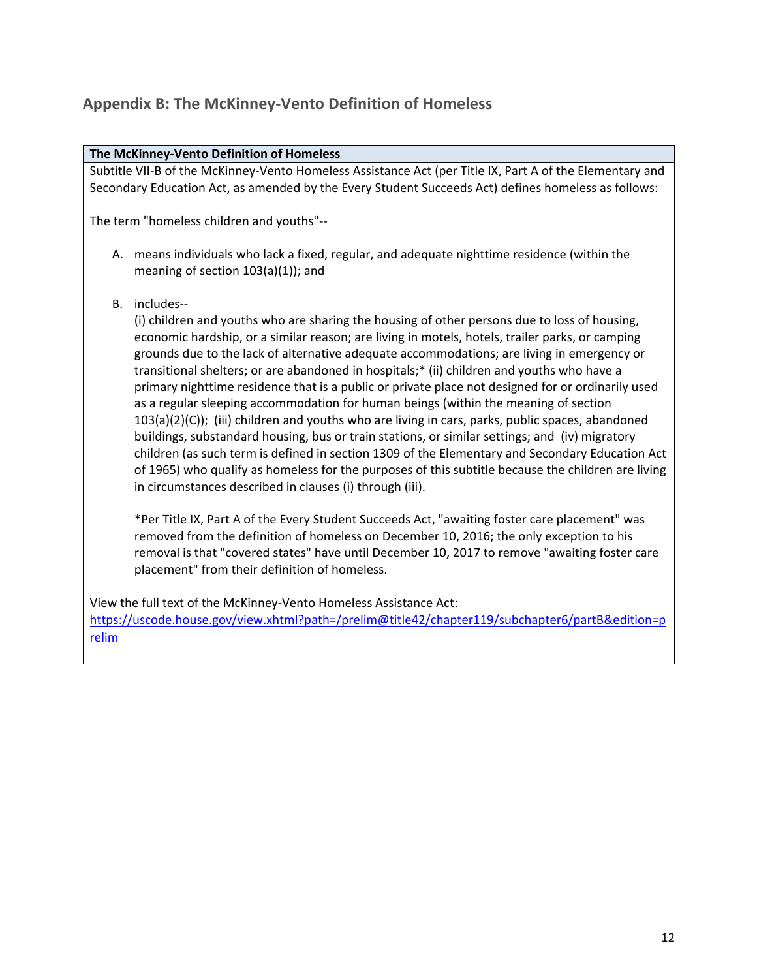### **Appendix B: The McKinney-Vento Definition of Homeless**

#### **The McKinney-Vento Definition of Homeless**

Subtitle VII-B of the McKinney-Vento Homeless Assistance Act (per Title IX, Part A of the Elementary and Secondary Education Act, as amended by the Every Student Succeeds Act) defines homeless as follows:

The term "homeless children and youths"--

- A. means individuals who lack a fixed, regular, and adequate nighttime residence (within the meaning of section 103(a)(1)); and
- B. includes--

(i) children and youths who are sharing the housing of other persons due to loss of housing, economic hardship, or a similar reason; are living in motels, hotels, trailer parks, or camping grounds due to the lack of alternative adequate accommodations; are living in emergency or transitional shelters; or are abandoned in hospitals;\* (ii) children and youths who have a primary nighttime residence that is a public or private place not designed for or ordinarily used as a regular sleeping accommodation for human beings (within the meaning of section 103(a)(2)(C)); (iii) children and youths who are living in cars, parks, public spaces, abandoned buildings, substandard housing, bus or train stations, or similar settings; and (iv) migratory children (as such term is defined in section 1309 of the Elementary and Secondary Education Act of 1965) who qualify as homeless for the purposes of this subtitle because the children are living in circumstances described in clauses (i) through (iii).

\*Per Title IX, Part A of the Every Student Succeeds Act, "awaiting foster care placement" was removed from the definition of homeless on December 10, 2016; the only exception to his removal is that "covered states" have until December 10, 2017 to remove "awaiting foster care placement" from their definition of homeless.

View the full text of the McKinney-Vento Homeless Assistance Act: [https://uscode.house.gov/view.xhtml?path=/prelim@title42/chapter119/subchapter6/partB&edition=p](https://uscode.house.gov/view.xhtml?path=/prelim@title42/chapter119/subchapter6/partB&edition=prelim) [relim](https://uscode.house.gov/view.xhtml?path=/prelim@title42/chapter119/subchapter6/partB&edition=prelim)